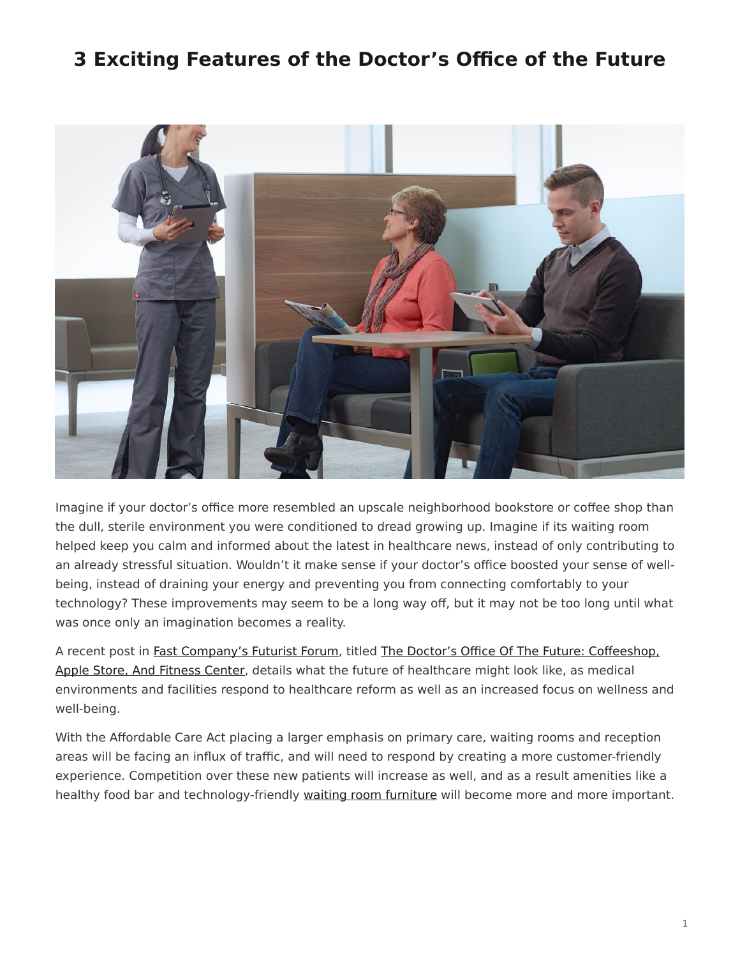## <span id="page-0-0"></span>**3 Exciting Features of the Doctor's Office of the Future**



Imagine if your doctor's office more resembled an upscale neighborhood bookstore or coffee shop than the dull, sterile environment you were conditioned to dread growing up. Imagine if its waiting room helped keep you calm and informed about the latest in healthcare news, instead of only contributing to an already stressful situation. Wouldn't it make sense if your doctor's office boosted your sense of wellbeing, instead of draining your energy and preventing you from connecting comfortably to your technology? These improvements may seem to be a long way off, but it may not be too long until what was once only an imagination becomes a reality.

A recent post in [Fast Company's Futurist Forum](http://www.fastcoexist.com/section/futurist-forum), titled [The Doctor's Office Of The Future: Coffeeshop,](http://www.fastcoexist.com/3023255/futurist-forum/the-doctors-office-of-the-future-coffeeshop-apple-store-and-fitness-center?partner=newsletter#2) [Apple Store, And Fitness Center,](http://www.fastcoexist.com/3023255/futurist-forum/the-doctors-office-of-the-future-coffeeshop-apple-store-and-fitness-center?partner=newsletter#2) details what the future of healthcare might look like, as medical environments and facilities respond to healthcare reform as well as an increased focus on wellness and well-being.

With the Affordable Care Act placing a larger emphasis on primary care, waiting rooms and reception areas will be facing an influx of traffic, and will need to respond by creating a more customer-friendly experience. Competition over these new patients will increase as well, and as a result amenities like a healthy food bar and technology-friendly [waiting room furniture](https://www.steelcase.com/products/side-guest-chairs/) will become more and more important.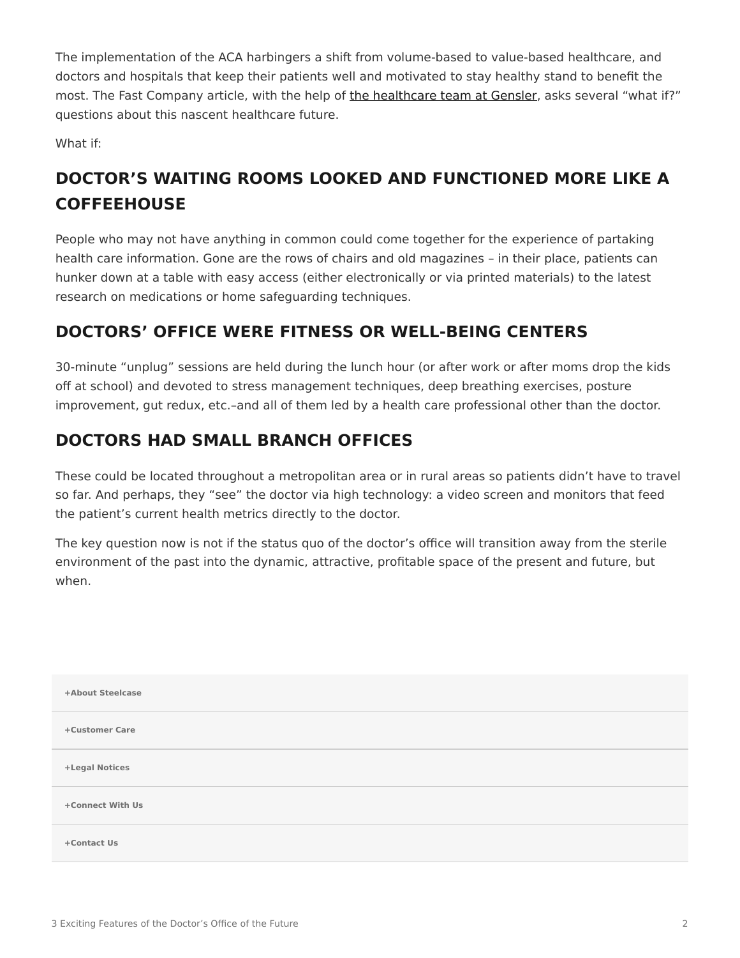The implementation of the ACA harbingers a shift from volume-based to value-based healthcare, and doctors and hospitals that keep their patients well and motivated to stay healthy stand to benefit the most. The Fast Company article, with the help of [the healthcare team at Gensler](http://m.gensler.com/markets/health-wellness), asks several "what if?" questions about this nascent healthcare future.

What if:

## **DOCTOR'S WAITING ROOMS LOOKED AND FUNCTIONED MORE LIKE A COFFEEHOUSE**

People who may not have anything in common could come together for the experience of partaking health care information. Gone are the rows of chairs and old magazines – in their place, patients can hunker down at a table with easy access (either electronically or via printed materials) to the latest research on medications or home safeguarding techniques.

## **DOCTORS' OFFICE WERE FITNESS OR WELL-BEING CENTERS**

30-minute "unplug" sessions are held during the lunch hour (or after work or after moms drop the kids off at school) and devoted to stress management techniques, deep breathing exercises, posture improvement, gut redux, etc.–and all of them led by a health care professional other than the doctor.

## **DOCTORS HAD SMALL BRANCH OFFICES**

These could be located throughout a metropolitan area or in rural areas so patients didn't have to travel so far. And perhaps, they "see" the doctor via high technology: a video screen and monitors that feed the patient's current health metrics directly to the doctor.

The key question now is not if the status quo of the doctor's office will transition away from the sterile environment of the past into the dynamic, attractive, profitable space of the present and future, but when.

| +About Steelcase |
|------------------|
| +Customer Care   |
| +Legal Notices   |
| +Connect With Us |
| +Contact Us      |